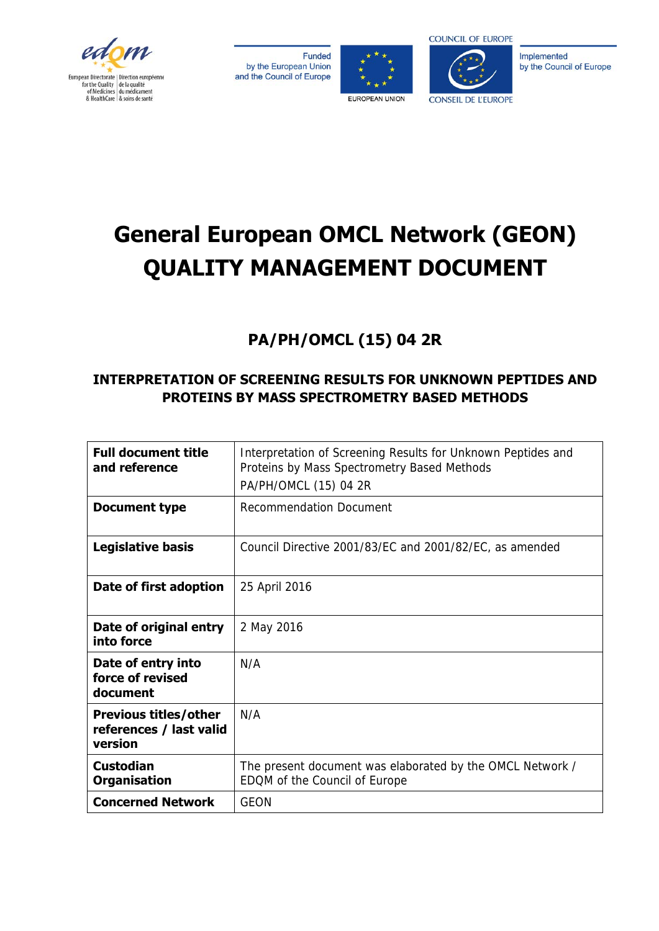

Funded by the European Union and the Council of Europe





Implemented by the Council of Europe

# **General European OMCL Network (GEON) QUALITY MANAGEMENT DOCUMENT**

## **PA/PH/OMCL (15) 04 2R**

## **INTERPRETATION OF SCREENING RESULTS FOR UNKNOWN PEPTIDES AND PROTEINS BY MASS SPECTROMETRY BASED METHODS**

| <b>Full document title</b><br>and reference                        | Interpretation of Screening Results for Unknown Peptides and<br>Proteins by Mass Spectrometry Based Methods<br>PA/PH/OMCL (15) 04 2R |  |  |  |  |  |
|--------------------------------------------------------------------|--------------------------------------------------------------------------------------------------------------------------------------|--|--|--|--|--|
| <b>Recommendation Document</b><br>Document type                    |                                                                                                                                      |  |  |  |  |  |
| <b>Legislative basis</b>                                           | Council Directive 2001/83/EC and 2001/82/EC, as amended                                                                              |  |  |  |  |  |
| Date of first adoption                                             | 25 April 2016                                                                                                                        |  |  |  |  |  |
| Date of original entry<br>into force                               | 2 May 2016                                                                                                                           |  |  |  |  |  |
| Date of entry into<br>force of revised<br>document                 | N/A                                                                                                                                  |  |  |  |  |  |
| <b>Previous titles/other</b><br>references / last valid<br>version | N/A                                                                                                                                  |  |  |  |  |  |
| <b>Custodian</b><br><b>Organisation</b>                            | The present document was elaborated by the OMCL Network /<br>EDQM of the Council of Europe                                           |  |  |  |  |  |
| <b>Concerned Network</b>                                           | GEON                                                                                                                                 |  |  |  |  |  |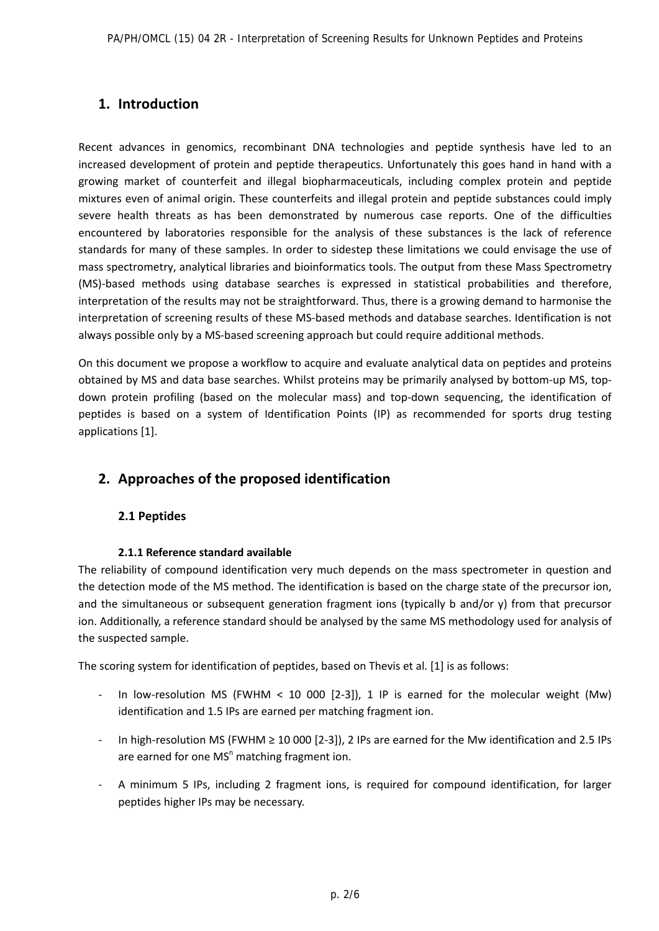### **1. Introduction**

Recent advances in genomics, recombinant DNA technologies and peptide synthesis have led to an increased development of protein and peptide therapeutics. Unfortunately this goes hand in hand with a growing market of counterfeit and illegal biopharmaceuticals, including complex protein and peptide mixtures even of animal origin. These counterfeits and illegal protein and peptide substances could imply severe health threats as has been demonstrated by numerous case reports. One of the difficulties encountered by laboratories responsible for the analysis of these substances is the lack of reference standards for many of these samples. In order to sidestep these limitations we could envisage the use of mass spectrometry, analytical libraries and bioinformatics tools. The output from these Mass Spectrometry (MS)-based methods using database searches is expressed in statistical probabilities and therefore, interpretation of the results may not be straightforward. Thus, there is a growing demand to harmonise the interpretation of screening results of these MS-based methods and database searches. Identification is not always possible only by a MS-based screening approach but could require additional methods.

On this document we propose a workflow to acquire and evaluate analytical data on peptides and proteins obtained by MS and data base searches. Whilst proteins may be primarily analysed by bottom-up MS, topdown protein profiling (based on the molecular mass) and top-down sequencing, the identification of peptides is based on a system of Identification Points (IP) as recommended for sports drug testing applications [1].

## **2. Approaches of the proposed identification**

#### **2.1 Peptides**

#### **2.1.1 Reference standard available**

The reliability of compound identification very much depends on the mass spectrometer in question and the detection mode of the MS method. The identification is based on the charge state of the precursor ion, and the simultaneous or subsequent generation fragment ions (typically b and/or y) from that precursor ion. Additionally, a reference standard should be analysed by the same MS methodology used for analysis of the suspected sample.

The scoring system for identification of peptides, based on Thevis et al. [1] is as follows:

- In low-resolution MS (FWHM < 10 000 [2-3]), 1 IP is earned for the molecular weight (Mw) identification and 1.5 IPs are earned per matching fragment ion.
- In high-resolution MS (FWHM ≥ 10 000 [2-3]), 2 IPs are earned for the Mw identification and 2.5 IPs are earned for one MS<sup>n</sup> matching fragment ion.
- A minimum 5 IPs, including 2 fragment ions, is required for compound identification, for larger peptides higher IPs may be necessary.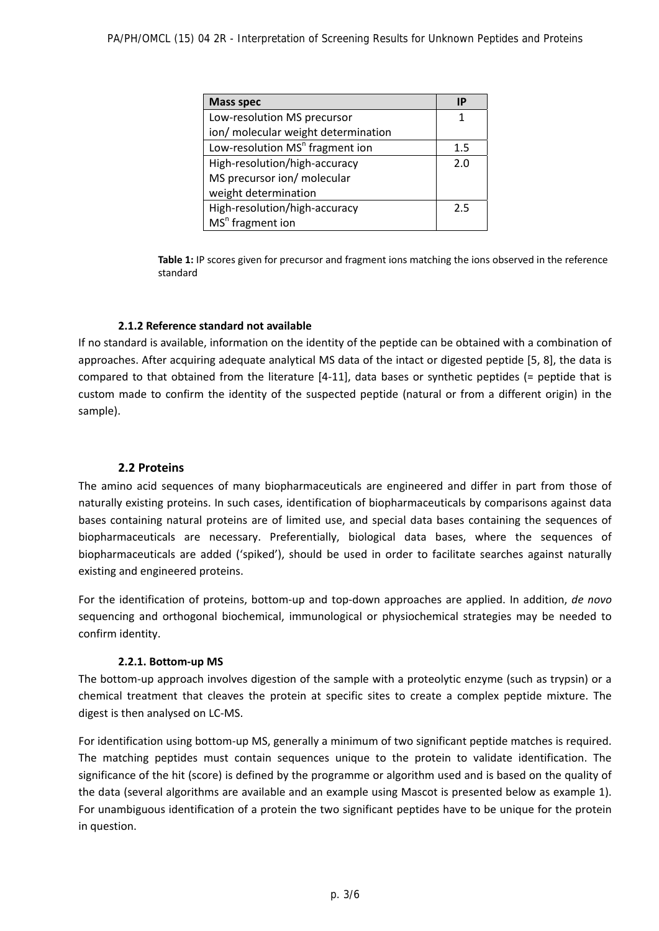| <b>Mass spec</b>                            | IP      |
|---------------------------------------------|---------|
| Low-resolution MS precursor                 | 1       |
| ion/ molecular weight determination         |         |
| Low-resolution MS <sup>n</sup> fragment ion | $1.5\,$ |
| High-resolution/high-accuracy               | 2.0     |
| MS precursor ion/ molecular                 |         |
| weight determination                        |         |
| High-resolution/high-accuracy               | 2.5     |
| $MSn$ fragment ion                          |         |

**Table 1:** IP scores given for precursor and fragment ions matching the ions observed in the reference standard

#### **2.1.2 Reference standard not available**

If no standard is available, information on the identity of the peptide can be obtained with a combination of approaches. After acquiring adequate analytical MS data of the intact or digested peptide [5, 8], the data is compared to that obtained from the literature [4-11], data bases or synthetic peptides (= peptide that is custom made to confirm the identity of the suspected peptide (natural or from a different origin) in the sample).

#### **2.2 Proteins**

The amino acid sequences of many biopharmaceuticals are engineered and differ in part from those of naturally existing proteins. In such cases, identification of biopharmaceuticals by comparisons against data bases containing natural proteins are of limited use, and special data bases containing the sequences of biopharmaceuticals are necessary. Preferentially, biological data bases, where the sequences of biopharmaceuticals are added ('spiked'), should be used in order to facilitate searches against naturally existing and engineered proteins.

For the identification of proteins, bottom-up and top-down approaches are applied. In addition, *de novo* sequencing and orthogonal biochemical, immunological or physiochemical strategies may be needed to confirm identity.

#### **2.2.1. Bottom-up MS**

The bottom-up approach involves digestion of the sample with a proteolytic enzyme (such as trypsin) or a chemical treatment that cleaves the protein at specific sites to create a complex peptide mixture. The digest is then analysed on LC-MS.

For identification using bottom-up MS, generally a minimum of two significant peptide matches is required. The matching peptides must contain sequences unique to the protein to validate identification. The significance of the hit (score) is defined by the programme or algorithm used and is based on the quality of the data (several algorithms are available and an example using Mascot is presented below as example 1). For unambiguous identification of a protein the two significant peptides have to be unique for the protein in question.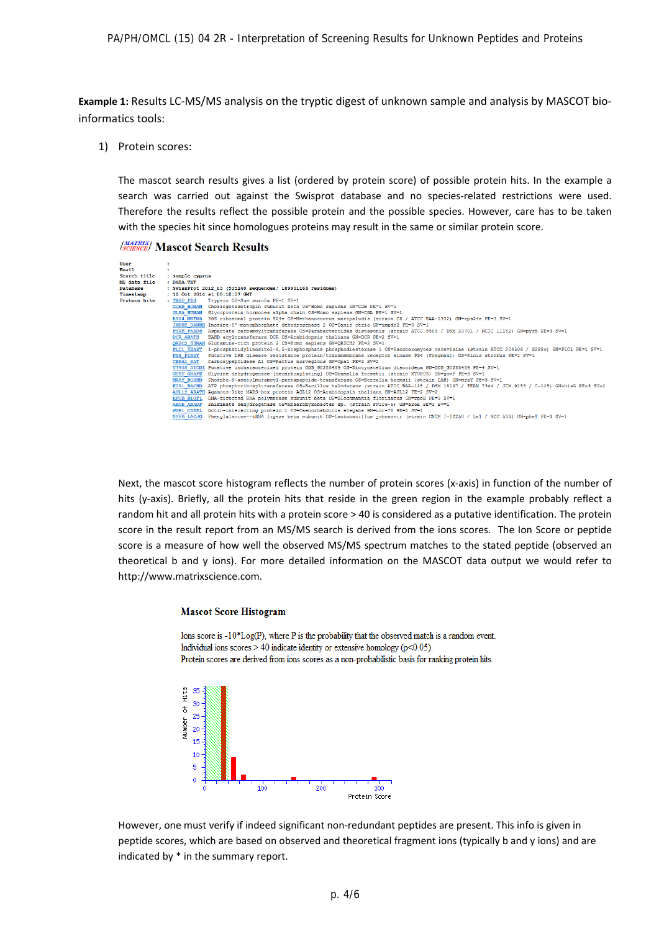**Example 1:** Results LC-MS/MS analysis on the tryptic digest of unknown sample and analysis by MASCOT bioinformatics tools:

1) Protein scores:

The mascot search results gives a list (ordered by protein score) of possible protein hits. In the example a search was carried out against the Swisprot database and no species-related restrictions were used. Therefore the results reflect the possible protein and the possible species. However, care has to be taken with the species hit since homologues proteins may result in the same or similar protein score.

#### (MATRIX) Mascot Search Results

| User         |                   |                                                                                                                                                   |  |  |  |  |  |  |  |
|--------------|-------------------|---------------------------------------------------------------------------------------------------------------------------------------------------|--|--|--|--|--|--|--|
| Email        |                   |                                                                                                                                                   |  |  |  |  |  |  |  |
| Search title | : sample cyprus   |                                                                                                                                                   |  |  |  |  |  |  |  |
| MS data file | : DATA.TXT        |                                                                                                                                                   |  |  |  |  |  |  |  |
| Database     |                   | : SwissProt 2012 03 (535248 sequences; 189901164 residues)                                                                                        |  |  |  |  |  |  |  |
| Timestamp    |                   | $: 10$ Oct. 2014 at 08:10:07 GMT                                                                                                                  |  |  |  |  |  |  |  |
| Protein hits | : TRYP PIG        | Trypsin OS=Sus scrofa PE=1 SV=1                                                                                                                   |  |  |  |  |  |  |  |
|              |                   | CGHB HUMAN Choriogonadotropin subunit beta OS=Homo sapiens GN=CGB PE=1 SV=1                                                                       |  |  |  |  |  |  |  |
|              |                   | GLHA HUMAN Glycoprotein hormones alpha chain OS=Homo sapiens GN=CGA PE=1 SV=1                                                                     |  |  |  |  |  |  |  |
|              |                   | RS24 METM6 30S ribosomal protein S24e OS=Methanococcus maripaludis (strain C6 / ATCC BAA-1332) GN=rps24e PE=3 SV=1                                |  |  |  |  |  |  |  |
|              |                   | IMDH2 DANRE Inosine-5'-monophosphate dehydrogenase 2 OS=Danio rerio GN=impdh2 PE=3 SV=1                                                           |  |  |  |  |  |  |  |
|              |                   | PYRB PARD8 Aspartate carbamovltransferase OS=Parabacteroides distasonis (strain ATCC 8503 / DSM 20701 / NCTC 11152) GN=pvrB PE=3 SV=1             |  |  |  |  |  |  |  |
|              | <b>DCR ARATH</b>  | BAHD acvltransferase DCR OS=Arabidopsis thaliana GN=DCR PE=2 SV=1                                                                                 |  |  |  |  |  |  |  |
|              |                   | ORIC2 HUMAN Glutamine-rich protein 2 OS=Homo sapiens GN=ORICH2 PE=2 SV=1                                                                          |  |  |  |  |  |  |  |
|              |                   | PLC1 YEAST 1-phosphatidvlinositol-4.5-bisphosphate phosphodiesterase 1 OS=Saccharomvces cerevisiae (strain ATCC 204508 / S288c) GN=PLC1 PE=1 SV=1 |  |  |  |  |  |  |  |
|              | <b>PS4 PINST</b>  | Putative LRR disease resistance protein/transmembrane receptor kinase PS4 (Fragment) OS=Pinus strobus PE=1 SV=1                                   |  |  |  |  |  |  |  |
|              | CBPA1 RAT         | Carboxvpeptidase A1 OS=Rattus norvegicus GN=Cpa1 PE=2 SV=2                                                                                        |  |  |  |  |  |  |  |
|              |                   | Y7955 DICDI Putative uncharacterized protein DDB G0288489 OS=Dictyostelium discoideum GN=DDB G0288489 PE=4 SV=1                                   |  |  |  |  |  |  |  |
|              |                   | GCSP GRAFK Glvcine dehvdrogenase [decarboxvlating] OS=Gramella forsetii (strain KT0803) GN=gcvP PE=3 SV=1                                         |  |  |  |  |  |  |  |
|              | <b>MRAY BORHD</b> | Phospho-N-acetylmuramoyl-pentapeptide-transferase OS=Borrelia hermsii (strain DAH) GN=mraY PE=3 SV=1                                              |  |  |  |  |  |  |  |
|              | <b>HIS1 BACHD</b> | ATP phosphoribosvltransferase OS=Bacillus halodurans (strain ATCC BAA-125 / DSM 18197 / FERM 7344 / JCM 9153 / C-125) GN=hisG PE=3 SV=1           |  |  |  |  |  |  |  |
|              |                   | AGL12 ARATH Agamous-like MADS-box protein AGL12 OS=Arabidopsis thaliana GN=AGL12 PE=2 SV=2                                                        |  |  |  |  |  |  |  |
|              |                   | RPOB BLOFL DNA-directed RNA polymerase subunit beta OS=Blochmannia floridanus GN=rpoB PE=3 SV=1                                                   |  |  |  |  |  |  |  |
|              |                   | AROE ANADF Shikimate dehydrogenase OS=Anaeromyxobacter sp. (strain Fw109-5) GN=aroE PE=3 SV=1                                                     |  |  |  |  |  |  |  |
|              | WDR1 CAEEL        | Actin-interacting protein 1 OS=Caenorhabditis elegans GN=unc-78 PE=1 SV=1                                                                         |  |  |  |  |  |  |  |
|              | SYFB LACJO        | Phenvlalanine--tRNA ligase beta subunit OS=Lactobacillus johnsonii (strain CNCM I-12250 / La1 / NCC 533) GN=pheT PE=3 SV=1                        |  |  |  |  |  |  |  |
|              |                   |                                                                                                                                                   |  |  |  |  |  |  |  |

Next, the mascot score histogram reflects the number of protein scores (x-axis) in function of the number of hits (y-axis). Briefly, all the protein hits that reside in the green region in the example probably reflect a random hit and all protein hits with a protein score > 40 is considered as a putative identification. The protein score in the result report from an MS/MS search is derived from the ions scores. The Ion Score or peptide score is a measure of how well the observed MS/MS spectrum matches to the stated peptide (observed an theoretical b and y ions). For more detailed information on the MASCOT data output we would refer to http://www.matrixscience.com.

#### **Mascot Score Histogram**

Ions score is  $-10*Log(P)$ , where P is the probability that the observed match is a random event. Individual ions scores  $> 40$  indicate identity or extensive homology ( $p<0.05$ ). Protein scores are derived from ions scores as a non-probabilistic basis for ranking protein hits.



However, one must verify if indeed significant non-redundant peptides are present. This info is given in peptide scores, which are based on observed and theoretical fragment ions (typically b and y ions) and are indicated by \* in the summary report.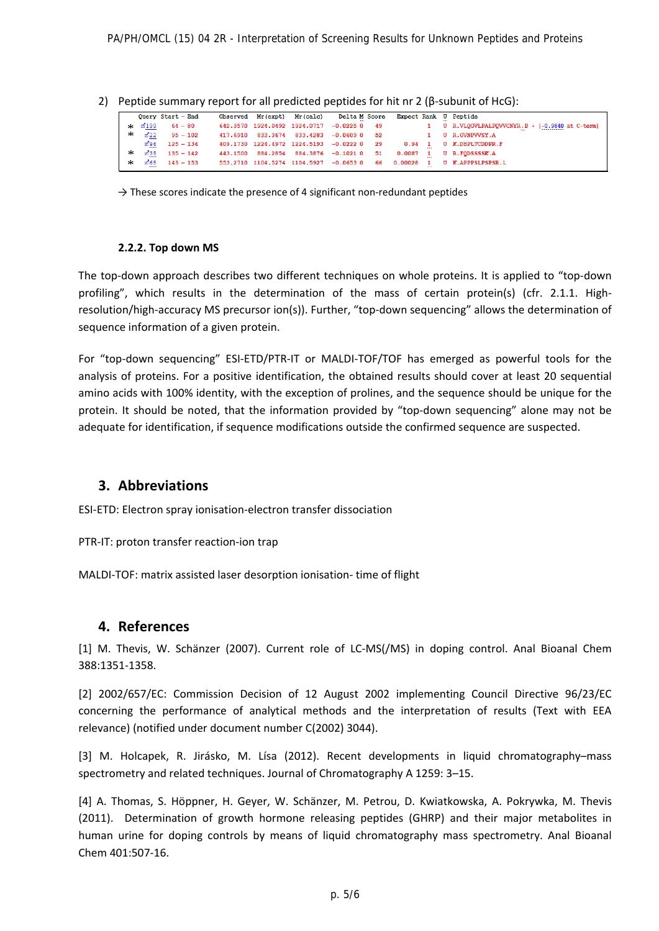2) Peptide summary report for all predicted peptides for hit nr 2 (β-subunit of HcG):

|        |       | Query Start - End |  | Observed Mr(expt) Mr(calc) Delta M Score |  |  | Expect Rank U Peptide                                                                     |
|--------|-------|-------------------|--|------------------------------------------|--|--|-------------------------------------------------------------------------------------------|
| sk.    | ⊠199  | $64 - 80$         |  |                                          |  |  | 642.3570 1924.0492 1924.0717 -0.0225 0 49 1 U R.VLQGVLPALPQVVCNYR.D + [-0.9840 at C-term] |
| $\ast$ | ₫22   | $95 - 102$        |  |                                          |  |  | 417.6910 833.3674 833.4283 -0.0609 0 52 1 U R.GVNPVVSY.A                                  |
|        |       | $296$ 125 - 134   |  |                                          |  |  | 409.1730 1224.4972 1224.5193 -0.0222 0 29 0.94 1 U K.DHPLTCDDPR.F                         |
| $\ast$ |       | $235$ 135 - 142   |  | 443.1500 884.2854 884.3876 -0.1021 0 51  |  |  | $0.0087$ 1 U R.FODSSSSK.A                                                                 |
| $\ast$ | ත් 68 | $143 - 153$       |  |                                          |  |  | 553.2710 1104.5274 1104.5927 -0.0653 0 66 0.00028 1 U K.APPPSLPSPSR.L                     |

 $\rightarrow$  These scores indicate the presence of 4 significant non-redundant peptides

#### **2.2.2. Top down MS**

The top-down approach describes two different techniques on whole proteins. It is applied to "top-down profiling", which results in the determination of the mass of certain protein(s) (cfr. 2.1.1. Highresolution/high-accuracy MS precursor ion(s)). Further, "top-down sequencing" allows the determination of sequence information of a given protein.

For "top-down sequencing" ESI-ETD/PTR-IT or MALDI-TOF/TOF has emerged as powerful tools for the analysis of proteins. For a positive identification, the obtained results should cover at least 20 sequential amino acids with 100% identity, with the exception of prolines, and the sequence should be unique for the protein. It should be noted, that the information provided by "top-down sequencing" alone may not be adequate for identification, if sequence modifications outside the confirmed sequence are suspected.

#### **3. Abbreviations**

ESI-ETD: Electron spray ionisation-electron transfer dissociation

PTR-IT: proton transfer reaction-ion trap

MALDI-TOF: matrix assisted laser desorption ionisation- time of flight

#### **4. References**

[1] M. Thevis, W. Schänzer (2007). Current role of LC-MS(/MS) in doping control. Anal Bioanal Chem 388:1351-1358.

[2] 2002/657/EC: Commission Decision of 12 August 2002 implementing Council Directive 96/23/EC concerning the performance of analytical methods and the interpretation of results (Text with EEA relevance) (notified under document number C(2002) 3044).

[3] M. Holcapek, R. Jirásko, M. Lísa (2012). Recent developments in liquid chromatography–mass spectrometry and related techniques. Journal of Chromatography A 1259: 3–15.

[4] A. Thomas, S. Höppner, H. Geyer, W. Schänzer, M. Petrou, D. Kwiatkowska, A. Pokrywka, M. Thevis (2011). Determination of growth hormone releasing peptides (GHRP) and their major metabolites in human urine for doping controls by means of liquid chromatography mass spectrometry. Anal Bioanal Chem 401:507-16.